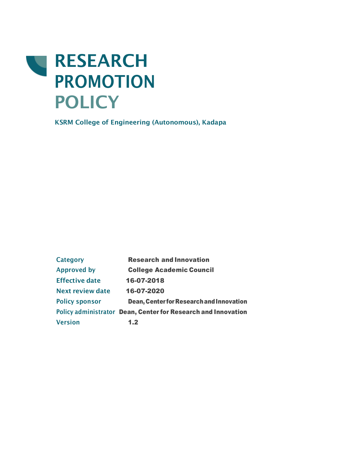

**KSRM College of Engineering (Autonomous), Kadapa**

**Category Research and Innovation Approved by** College Academic Council **Effective date** 16-07-2018 **Next review date** 16-07-2020 Policy sponsor **Dean, Center for Research and Innovation Policy administrator** Dean, Center for Research and Innovation **Version** 1.2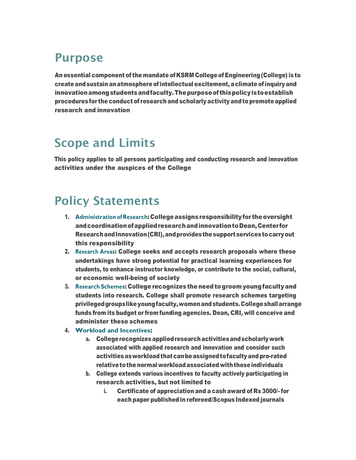## **Purpose**

An essential component of the mandate of KSRM College of Engineering (College) is to createandsustain anatmosphereofintellectual excitement, aclimate ofinquiryand innovationamongstudentsandfaculty.Thepurposeof thispolicyistoestablish procedures for the conduct of research and scholarly activity and to promote applied research and innovation

# **Scope and Limits**

This policy applies to all persons participating and conducting research and innovation activities under the auspices of the College

# **Policy Statements**

- 1. **Administration of Research**: Collegeassignsresponsibilityfor theoversight andcoordinationofappliedresearchandinnovationtoDean,Center for Research and Innovation (CRI), and provides the support services to carry out this responsibility
- 2. **Research Areas**: College seeks and accepts research proposals where these undertakings have strong potential for practical learning experiences for students, to enhance instructor knowledge, or contribute to the social, cultural, or economic well-being of society
- 3. **Research Schemes**: College recognizes the need togroom youngfacultyand students into research. College shall promote research schemes targeting privilegedgroupslikeyoungfaculty,womenandstudents.Collegeshallarrange funds from its budget or from funding agencies. Dean, CRI, will conceive and administer these schemes
- 4. **Workload and Incentives**:
	- a. Collegerecognizesappliedresearchactivitiesandscholarlywork associated with applied research and innovation and consider such activitiesasworkloadthatcanbeassignedtofacultyandpro-rated relative to the normal workload associated with those individuals
	- b. College extends various incentives to faculty actively participating in research activities, but not limited to
		- i. Certificate of appreciation and a cash award of Rs 3000/- for each paper published inrefereed/Scopus Indexed journals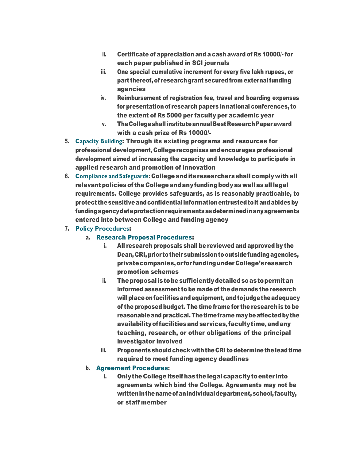- ii. Certificate of appreciation and a cash award of Rs 10000/- for each paper published in SCI journals
- iii. One special cumulative increment for every five lakh rupees, or part thereof, of research grant secured from external funding agencies
- iv. Reimbursement of registration fee, travel and boarding expenses for presentation of research papersinnational conferences, to the extent of Rs 5000 per faculty per academic year
- v. TheCollegeshallinstituteannualBestResearchPaperaward with a cash prize of Rs 10000/-
- 5. **Capacity Building**: Through its existing programs and resources for professional development, Collegerecognizesandencouragesprofessional development aimed at increasing the capacity and knowledge to participate in applied research and promotion of innovation
- 6. **Compliance and Safeguards**: College and its researchers shallcomplywith all relevant policiesof the College andanyfundingbodyaswellasalllegal requirements. College provides safeguards, as is reasonably practicable, to protect thesensitiveandconfidentialinformationentrustedtoit andabides by fundingagencydataprotectionrequirementsasdeterminedinanyagreements entered into between College and funding agency
- 7. **Policy Procedures**:

## a. Research Proposal Procedures:

- i. All research proposals shall be reviewed and approved by the Dean, CRI, prior to their submission to outside funding agencies, privatecompanies,or forfundingunderCollege'sresearch promotion schemes
- ii. Theproposalistobesufficientlydetailedsoastopermitan informed assessment to be made of the demands the research will place on facilities and equipment, and to judge the adequacy of the proposed budget. The time frame for the researchis to be reasonable and practical. The time frame may be affected by the availabilityoffacilitiesandservices,facultytime,andany teaching, research, or other obligations of the principal investigator involved
- iii. Proponents shouldcheck withtheCRI todeterminetheleadtime required to meet funding agency deadlines

## b. Agreement Procedures:

i. Only the College itself has the legal capacity to enter into agreements which bind the College. Agreements may not be writteninthenameofanindividualdepartment,school,faculty, or staff member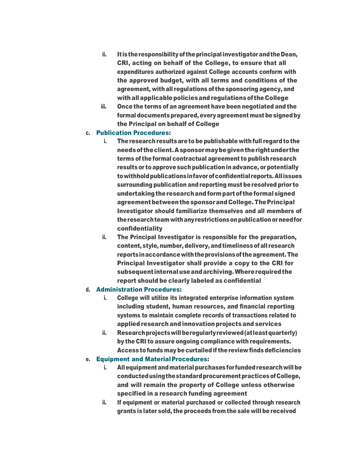- ii. It istheresponsibilityof theprincipalinvestigatorandtheDean, CRI, acting on behalf of the College, to ensure that all expenditures authorized against College accounts conform with the approved budget, with all terms and conditions of the agreement, withall regulations of thesponsoring agency, and withallapplicablepoliciesandregulationsof theCollege
- iii. Once the terms of an agreement have been negotiated and the formal documents prepared, every agreement must be signed by the Principal on behalf of College

#### c. Publication Procedures:

- i. The research results are to be publishable with full regard to the needsof theclient.Asponsormaybegiventherightunderthe terms of the formal contractual agreement to publish research results or to approve such publication in advance, or potentially towithholdpublicationsinfavorofconfidential reports.Allissues surrounding publication and reporting must be resolved prior to undertakingtheresearchandformpartof theformalsigned agreementbetweenthesponsorandCollege.ThePrincipal Investigator should familiarize themselves and all members of theresearchteamwithanyrestrictionsonpublicationorneedfor confidentiality
- ii. The Principal Investigator is responsible for the preparation, content, style, number, delivery, and timeliness of all research reports in accordance with the provisions of the agreement. The Principal Investigator shall provide a copy to the CRI for subsequent internaluseandarchiving.Whererequiredthe report should be clearly labeled as confidential

#### d. Administration Procedures:

- i. College will utilize its integrated enterprise information system including student, human resources, and financial reporting systems to maintain complete records of transactions related to applied research and innovation projects and services
- ii. Research projects will be regularly reviewed (at least quarterly) by the CRI to assure ongoing compliance with requirements. Access to funds may be curtailed if the review finds deficiencies

#### e. Equipment and MaterialProcedures:

- i. All equipment and material purchases for funded research will be conductedusingthestandardprocurementpracticesofCollege, and will remain the property of College unless otherwise specified in a research funding agreement
- ii. If equipment or material purchased or collected through research grants is later sold, the proceeds fromthe sale will bereceived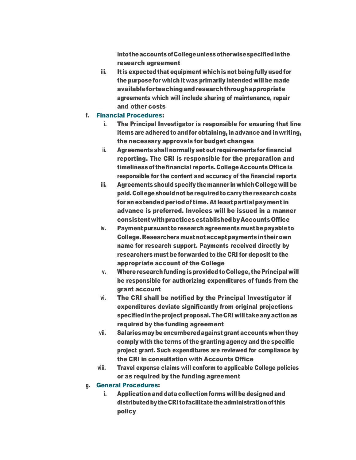intotheaccountsofCollegeunlessotherwisespecifiedinthe research agreement

iii. It is expected that equipment which is not being fully used for the purpose for which it was primarily intended will be made availableforteachingandresearchthroughappropriate agreements which will include sharing of maintenance, repair and other costs

#### f. Financial Procedures:

- i. The Principal Investigator is responsible for ensuring that line items are adhered to and for obtaining, in advance and in writing, the necessary approvals for budget changes
- ii. Agreements shall normally set out requirements for financial reporting. The CRI is responsible for the preparation and timeliness of thefinancial reports. College Accounts Officeis responsible for the content and accuracy of the financial reports
- iii. Agreements should specifythemanner in whichCollegewill be paid. College should not be required to carry the research costs for an extended period of time. At least partial payment in advance is preferred. Invoices will be issued in a manner consistentwithpracticesestablishedbyAccountsOffice
- iv. Payment pursuant to research agreements must be payable to College. Researchers must not accept paymentsintheir own name for research support. Payments received directly by researchers must be forwarded to the CRI for deposit to the appropriate account of the College
- v. Whereresearchfundingisprovided toCollege, the Principal will be responsible for authorizing expenditures of funds from the grant account
- vi. The CRI shall be notified by the Principal Investigator if expenditures deviate significantly from original projections specified in the project proposal. The CRI will take any action as required by the funding agreement
- vii. Salaries may be encumbered against grant accounts when they comply with the terms of the granting agency and the specific project grant. Such expenditures are reviewed for compliance by the CRI in consultation with Accounts Office
- viii. Travel expense claims will conform to applicable College policies or as required by the funding agreement

## g. General Procedures:

i. Application and data collection forms will be designed and distributedbytheCRI tofacilitatetheadministrationof this policy